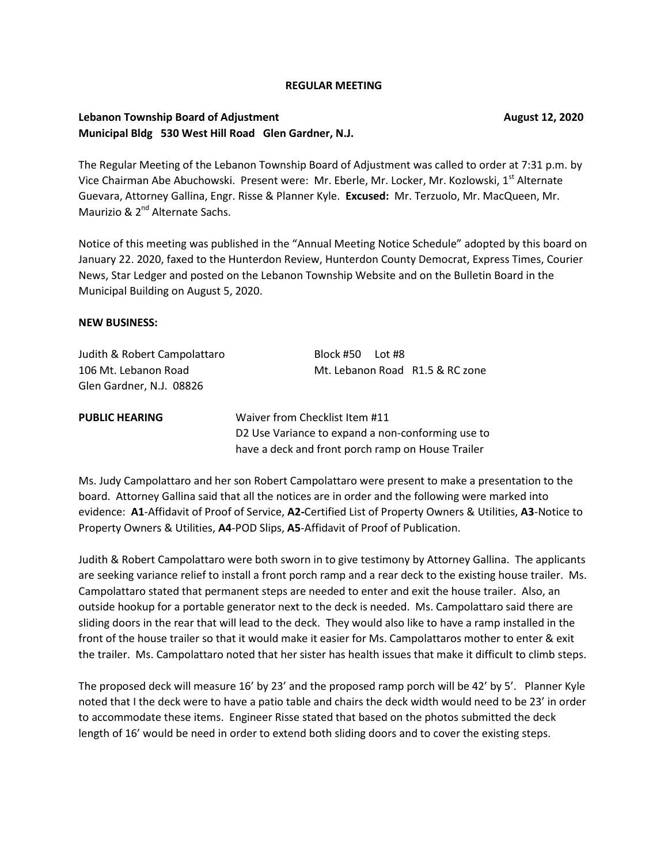### **REGULAR MEETING**

## **Lebanon Township Board of Adjustment Community Community Community Community Community Community Community Community Community Community Community Community Community Community Community Community Community Community Comm Municipal Bldg 530 West Hill Road Glen Gardner, N.J.**

The Regular Meeting of the Lebanon Township Board of Adjustment was called to order at 7:31 p.m. by Vice Chairman Abe Abuchowski. Present were: Mr. Eberle, Mr. Locker, Mr. Kozlowski, 1st Alternate Guevara, Attorney Gallina, Engr. Risse & Planner Kyle. **Excused:** Mr. Terzuolo, Mr. MacQueen, Mr. Maurizio & 2<sup>nd</sup> Alternate Sachs.

Notice of this meeting was published in the "Annual Meeting Notice Schedule" adopted by this board on January 22. 2020, faxed to the Hunterdon Review, Hunterdon County Democrat, Express Times, Courier News, Star Ledger and posted on the Lebanon Township Website and on the Bulletin Board in the Municipal Building on August 5, 2020.

### **NEW BUSINESS:**

Judith & Robert Campolattaro Block #50 Lot #8 Glen Gardner, N.J. 08826

106 Mt. Lebanon Road Mt. Lebanon Road R1.5 & RC zone

**PUBLIC HEARING** Waiver from Checklist Item #11 D2 Use Variance to expand a non-conforming use to have a deck and front porch ramp on House Trailer

Ms. Judy Campolattaro and her son Robert Campolattaro were present to make a presentation to the board. Attorney Gallina said that all the notices are in order and the following were marked into evidence: **A1**-Affidavit of Proof of Service, **A2-**Certified List of Property Owners & Utilities, **A3**-Notice to Property Owners & Utilities, **A4**-POD Slips, **A5**-Affidavit of Proof of Publication.

Judith & Robert Campolattaro were both sworn in to give testimony by Attorney Gallina. The applicants are seeking variance relief to install a front porch ramp and a rear deck to the existing house trailer. Ms. Campolattaro stated that permanent steps are needed to enter and exit the house trailer. Also, an outside hookup for a portable generator next to the deck is needed. Ms. Campolattaro said there are sliding doors in the rear that will lead to the deck. They would also like to have a ramp installed in the front of the house trailer so that it would make it easier for Ms. Campolattaros mother to enter & exit the trailer. Ms. Campolattaro noted that her sister has health issues that make it difficult to climb steps.

The proposed deck will measure 16' by 23' and the proposed ramp porch will be 42' by 5'. Planner Kyle noted that I the deck were to have a patio table and chairs the deck width would need to be 23' in order to accommodate these items. Engineer Risse stated that based on the photos submitted the deck length of 16' would be need in order to extend both sliding doors and to cover the existing steps.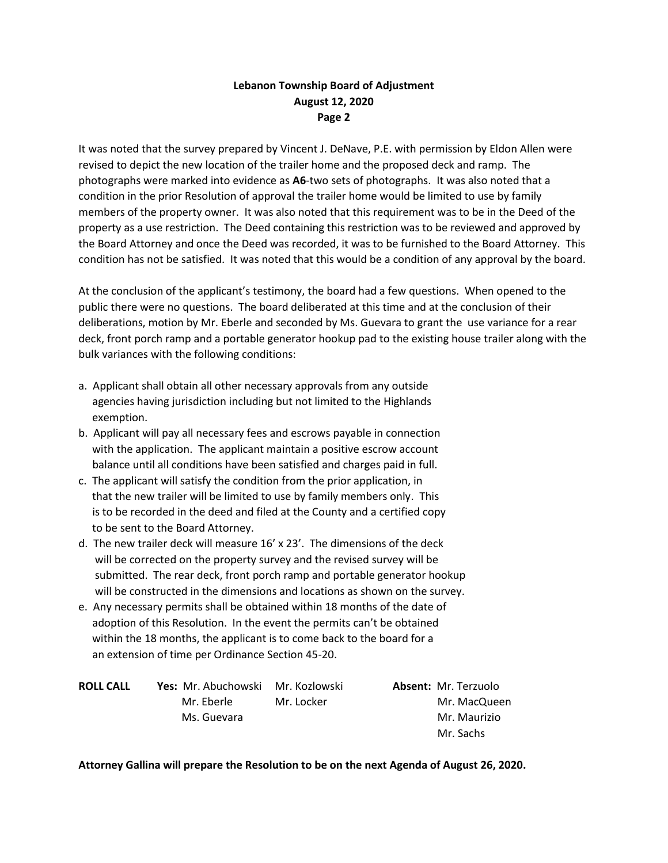# **Lebanon Township Board of Adjustment August 12, 2020 Page 2**

It was noted that the survey prepared by Vincent J. DeNave, P.E. with permission by Eldon Allen were revised to depict the new location of the trailer home and the proposed deck and ramp. The photographs were marked into evidence as **A6**-two sets of photographs. It was also noted that a condition in the prior Resolution of approval the trailer home would be limited to use by family members of the property owner. It was also noted that this requirement was to be in the Deed of the property as a use restriction. The Deed containing this restriction was to be reviewed and approved by the Board Attorney and once the Deed was recorded, it was to be furnished to the Board Attorney. This condition has not be satisfied. It was noted that this would be a condition of any approval by the board.

At the conclusion of the applicant's testimony, the board had a few questions. When opened to the public there were no questions. The board deliberated at this time and at the conclusion of their deliberations, motion by Mr. Eberle and seconded by Ms. Guevara to grant the use variance for a rear deck, front porch ramp and a portable generator hookup pad to the existing house trailer along with the bulk variances with the following conditions:

- a. Applicant shall obtain all other necessary approvals from any outside agencies having jurisdiction including but not limited to the Highlands exemption.
- b. Applicant will pay all necessary fees and escrows payable in connection with the application. The applicant maintain a positive escrow account balance until all conditions have been satisfied and charges paid in full.
- c. The applicant will satisfy the condition from the prior application, in that the new trailer will be limited to use by family members only. This is to be recorded in the deed and filed at the County and a certified copy to be sent to the Board Attorney.
- d. The new trailer deck will measure 16' x 23'. The dimensions of the deck will be corrected on the property survey and the revised survey will be submitted. The rear deck, front porch ramp and portable generator hookup will be constructed in the dimensions and locations as shown on the survey.
- e. Any necessary permits shall be obtained within 18 months of the date of adoption of this Resolution. In the event the permits can't be obtained within the 18 months, the applicant is to come back to the board for a an extension of time per Ordinance Section 45-20.

| <b>ROLL CALL</b> | <b>Yes:</b> Mr. Abuchowski Mr. Kozlowski |            | <b>Absent: Mr. Terzuolo</b> |
|------------------|------------------------------------------|------------|-----------------------------|
|                  | Mr. Eberle                               | Mr. Locker | Mr. MacQueen                |
|                  | Ms. Guevara                              |            | Mr. Maurizio                |
|                  |                                          |            | Mr. Sachs                   |

### **Attorney Gallina will prepare the Resolution to be on the next Agenda of August 26, 2020.**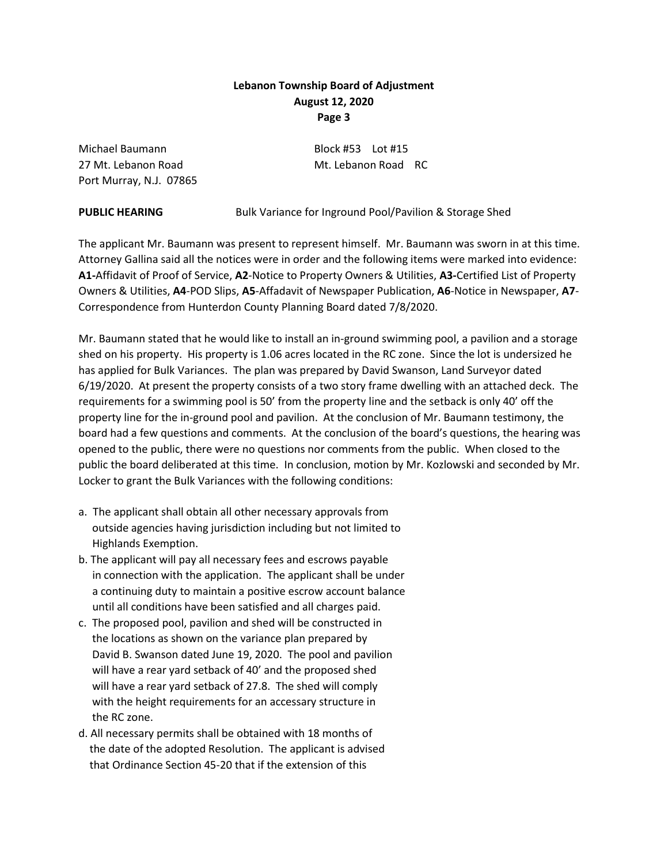# **Lebanon Township Board of Adjustment August 12, 2020 Page 3**

Michael Baumann Block #53 Lot #15 27 Mt. Lebanon Road Mt. Lebanon Road RC Port Murray, N.J. 07865

**PUBLIC HEARING** Bulk Variance for Inground Pool/Pavilion & Storage Shed

The applicant Mr. Baumann was present to represent himself. Mr. Baumann was sworn in at this time. Attorney Gallina said all the notices were in order and the following items were marked into evidence: **A1-**Affidavit of Proof of Service, **A2**-Notice to Property Owners & Utilities, **A3-**Certified List of Property Owners & Utilities, **A4**-POD Slips, **A5**-Affadavit of Newspaper Publication, **A6**-Notice in Newspaper, **A7**- Correspondence from Hunterdon County Planning Board dated 7/8/2020.

Mr. Baumann stated that he would like to install an in-ground swimming pool, a pavilion and a storage shed on his property. His property is 1.06 acres located in the RC zone. Since the lot is undersized he has applied for Bulk Variances. The plan was prepared by David Swanson, Land Surveyor dated 6/19/2020. At present the property consists of a two story frame dwelling with an attached deck. The requirements for a swimming pool is 50' from the property line and the setback is only 40' off the property line for the in-ground pool and pavilion. At the conclusion of Mr. Baumann testimony, the board had a few questions and comments. At the conclusion of the board's questions, the hearing was opened to the public, there were no questions nor comments from the public. When closed to the public the board deliberated at this time. In conclusion, motion by Mr. Kozlowski and seconded by Mr. Locker to grant the Bulk Variances with the following conditions:

- a. The applicant shall obtain all other necessary approvals from outside agencies having jurisdiction including but not limited to Highlands Exemption.
- b. The applicant will pay all necessary fees and escrows payable in connection with the application. The applicant shall be under a continuing duty to maintain a positive escrow account balance until all conditions have been satisfied and all charges paid.
- c. The proposed pool, pavilion and shed will be constructed in the locations as shown on the variance plan prepared by David B. Swanson dated June 19, 2020. The pool and pavilion will have a rear yard setback of 40' and the proposed shed will have a rear yard setback of 27.8. The shed will comply with the height requirements for an accessary structure in the RC zone.
- d. All necessary permits shall be obtained with 18 months of the date of the adopted Resolution. The applicant is advised that Ordinance Section 45-20 that if the extension of this